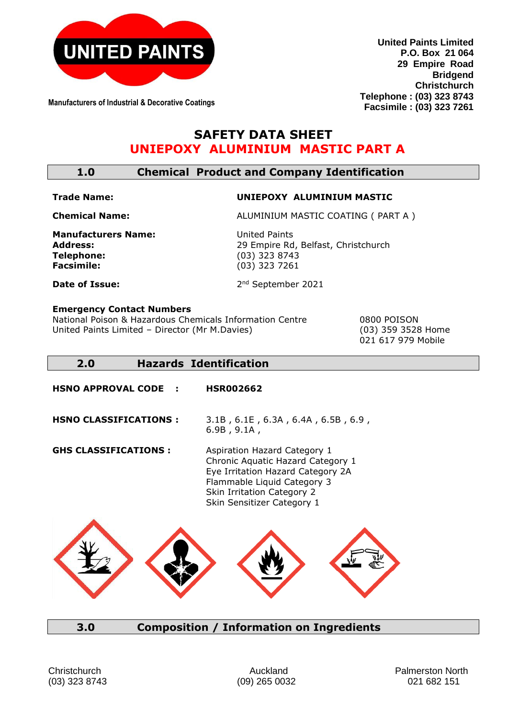

**Manufacturers of Industrial & Decorative Coatings**

**United Paints Limited P.O. Box 21 064 29 Empire Road Bridgend Christchurch Telephone : (03) 323 8743 Facsimile : (03) 323 7261**

# **SAFETY DATA SHEET UNIEPOXY ALUMINIUM MASTIC PART A**

| <b>Chemical Product and Company Identification</b><br>1.0 |
|-----------------------------------------------------------|
|-----------------------------------------------------------|

### **Trade Name: UNIEPOXY ALUMINIUM MASTIC**

**Chemical Name:** ALUMINIUM MASTIC COATING ( PART A )

**Manufacturers Name:** United Paints **Telephone:** (03) 323 8743

Address:<br> **Address:**29 Empire Rd, Belfast, Christchurch<br>
29 Empire Rd, Belfast, Christchurch<br>
29 Empire Rd, Belfast, Christchurch **Facsimile:** (03) 323 7261

2<sup>nd</sup> September 2021

**Date of Issue:** 

### **Emergency Contact Numbers**

National Poison & Hazardous Chemicals Information Centre 0800 POISON United Paints Limited – Director (Mr M.Davies) (03) 359 3528 Home

021 617 979 Mobile

## **2.0 Hazards Identification**

**HSNO APPROVAL CODE : HSR002662**

**HSNO CLASSIFICATIONS :** 3.1B , 6.1E , 6.3A , 6.4A , 6.5B , 6.9 , 6.9B , 9.1A ,

**GHS CLASSIFICATIONS :** Aspiration Hazard Category 1 Chronic Aquatic Hazard Category 1 Eye Irritation Hazard Category 2A Flammable Liquid Category 3 Skin Irritation Category 2 Skin Sensitizer Category 1



## **3.0 Composition / Information on Ingredients**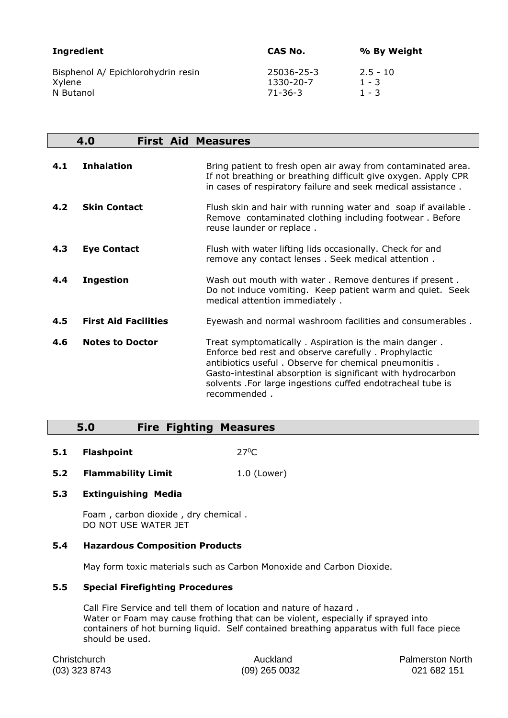| Ingredient                         | CAS No.       | % By Weight |
|------------------------------------|---------------|-------------|
| Bisphenol A/ Epichlorohydrin resin | 25036-25-3    | $2.5 - 10$  |
| Xylene                             | 1330-20-7     | $1 - 3$     |
| N Butanol                          | $71 - 36 - 3$ | $1 - 3$     |

|     | 4.0<br><b>First Aid Measures</b> |                                                                                                                                                                                                                                                                                                                     |
|-----|----------------------------------|---------------------------------------------------------------------------------------------------------------------------------------------------------------------------------------------------------------------------------------------------------------------------------------------------------------------|
| 4.1 | <b>Inhalation</b>                | Bring patient to fresh open air away from contaminated area.<br>If not breathing or breathing difficult give oxygen. Apply CPR<br>in cases of respiratory failure and seek medical assistance.                                                                                                                      |
| 4.2 | <b>Skin Contact</b>              | Flush skin and hair with running water and soap if available.<br>Remove contaminated clothing including footwear. Before<br>reuse launder or replace.                                                                                                                                                               |
| 4.3 | <b>Eye Contact</b>               | Flush with water lifting lids occasionally. Check for and<br>remove any contact lenses. Seek medical attention.                                                                                                                                                                                                     |
| 4.4 | <b>Ingestion</b>                 | Wash out mouth with water. Remove dentures if present.<br>Do not induce vomiting. Keep patient warm and quiet. Seek<br>medical attention immediately.                                                                                                                                                               |
| 4.5 | <b>First Aid Facilities</b>      | Eyewash and normal washroom facilities and consumerables.                                                                                                                                                                                                                                                           |
| 4.6 | <b>Notes to Doctor</b>           | Treat symptomatically. Aspiration is the main danger.<br>Enforce bed rest and observe carefully. Prophylactic<br>antibiotics useful. Observe for chemical pneumonitis.<br>Gasto-intestinal absorption is significant with hydrocarbon<br>solvents .For large ingestions cuffed endotracheal tube is<br>recommended. |

## **5.0 Fire Fighting Measures**

- **5.1 Flashpoint** 27<sup>0</sup>C
- **5.2 Flammability Limit** 1.0 (Lower)

#### **5.3 Extinguishing Media**

Foam , carbon dioxide , dry chemical . DO NOT USE WATER JET

#### **5.4 Hazardous Composition Products**

May form toxic materials such as Carbon Monoxide and Carbon Dioxide.

#### **5.5 Special Firefighting Procedures**

Call Fire Service and tell them of location and nature of hazard . Water or Foam may cause frothing that can be violent, especially if sprayed into containers of hot burning liquid. Self contained breathing apparatus with full face piece should be used.

Christchurch **Auckland Auckland Palmerston North** (03) 323 8743 (09) 265 0032 021 682 151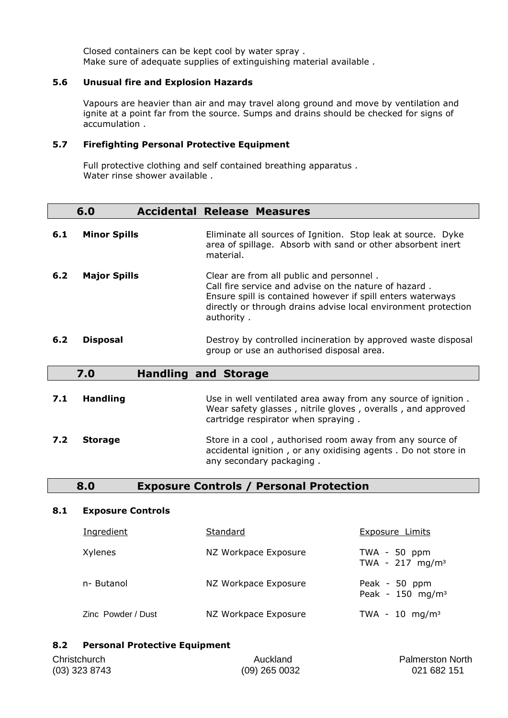Closed containers can be kept cool by water spray . Make sure of adequate supplies of extinguishing material available .

### **5.6 Unusual fire and Explosion Hazards**

Vapours are heavier than air and may travel along ground and move by ventilation and ignite at a point far from the source. Sumps and drains should be checked for signs of accumulation .

#### **5.7 Firefighting Personal Protective Equipment**

Full protective clothing and self contained breathing apparatus . Water rinse shower available .

|     | 6.0                 | <b>Accidental Release Measures</b>                                                                                                                                                                                                               |
|-----|---------------------|--------------------------------------------------------------------------------------------------------------------------------------------------------------------------------------------------------------------------------------------------|
| 6.1 | <b>Minor Spills</b> | Eliminate all sources of Ignition. Stop leak at source. Dyke<br>area of spillage. Absorb with sand or other absorbent inert<br>material.                                                                                                         |
| 6.2 | <b>Major Spills</b> | Clear are from all public and personnel.<br>Call fire service and advise on the nature of hazard.<br>Ensure spill is contained however if spill enters waterways<br>directly or through drains advise local environment protection<br>authority. |
| 6.2 | <b>Disposal</b>     | Destroy by controlled incineration by approved waste disposal<br>group or use an authorised disposal area.                                                                                                                                       |
|     | 7.0                 | <b>Handling and Storage</b>                                                                                                                                                                                                                      |
| 7.1 | <b>Handling</b>     | Use in well ventilated area away from any source of ignition.<br>Wear safety glasses, nitrile gloves, overalls, and approved<br>cartridge respirator when spraying.                                                                              |
| 7.2 | <b>Storage</b>      | Store in a cool, authorised room away from any source of<br>accidental ignition, or any oxidising agents. Do not store in<br>any secondary packaging.                                                                                            |

## **8.0 Exposure Controls / Personal Protection**

#### **8.1 Exposure Controls**

| Ingredient         | Standard             | <b>Exposure Limits</b>                       |
|--------------------|----------------------|----------------------------------------------|
| Xylenes            | NZ Workpace Exposure | $TWA - 50 ppm$<br>TWA - $217 \text{ mg/m}^3$ |
| n- Butanol         | NZ Workpace Exposure | Peak - 50 ppm<br>Peak - $150 \text{ mg/m}^3$ |
| Zinc Powder / Dust | NZ Workpace Exposure | TWA - 10 mg/m <sup>3</sup>                   |

### **8.2 Personal Protective Equipment**

| Christchurch    | Auckland        | <b>Palmerston North</b> |
|-----------------|-----------------|-------------------------|
| $(03)$ 323 8743 | $(09)$ 265 0032 | 021 682 151             |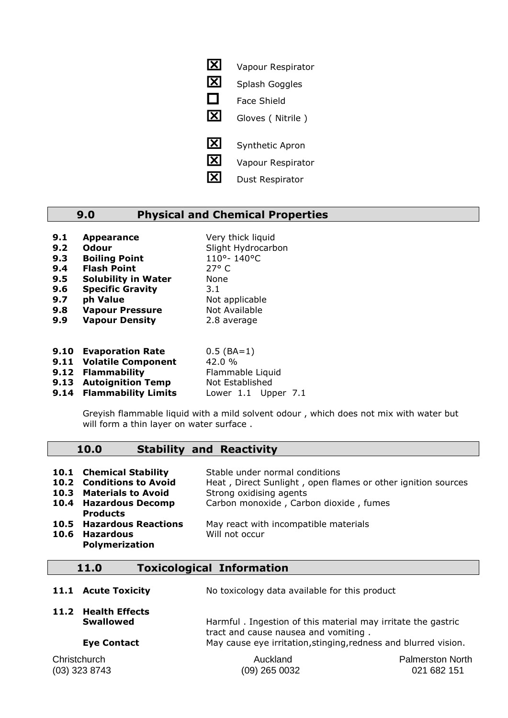**X** Vapour Respirator **X** Splash Goggles  $\Box$  Face Shield Gloves ( Nitrile ) **X** Synthetic Apron **X** Vapour Respirator **X** Dust Respirator

## **9.0 Physical and Chemical Properties**

| 9.1 | <b>Appearance</b>          | Very thick liquid  |
|-----|----------------------------|--------------------|
| 9.2 | <b>Odour</b>               | Slight Hydrocarbon |
| 9.3 | <b>Boiling Point</b>       | 110°-140°C         |
| 9.4 | <b>Flash Point</b>         | 27° C              |
| 9.5 | <b>Solubility in Water</b> | None               |
| 9.6 | <b>Specific Gravity</b>    | 3.1                |
| 9.7 | ph Value                   | Not applicable     |
| 9.8 | <b>Vapour Pressure</b>     | Not Available      |
| 9.9 | <b>Vapour Density</b>      | 2.8 average        |
|     |                            |                    |
|     |                            | $\sim$ $\sim$      |

**9.10 Evaporation Rate** 0.5 (BA=1) **9.11 Volatile Component** 42.0 % **9.12 Flammability** Flammable Liquid **9.13 Autoignition Temp** Not Established

**9.14 Flammability Limits** Lower 1.1 Upper 7.1

Greyish flammable liquid with a mild solvent odour , which does not mix with water but will form a thin layer on water surface.

#### **10.0 Stability and Reactivity**

|      | 10.1 Chemical Stability<br>10.2 Conditions to Avoid<br>10.3 Materials to Avoid<br>10.4 Hazardous Decomp | Stable under normal conditions<br>Heat, Direct Sunlight, open flames or other ignition sources<br>Strong oxidising agents<br>Carbon monoxide, Carbon dioxide, fumes |
|------|---------------------------------------------------------------------------------------------------------|---------------------------------------------------------------------------------------------------------------------------------------------------------------------|
| 10.6 | <b>Products</b><br><b>10.5 Hazardous Reactions</b><br>Hazardous<br><b>Polymerization</b>                | May react with incompatible materials<br>Will not occur                                                                                                             |

### **11.0 Toxicological Information**

|  | 11.1 Acute Toxicity | No toxicology data available for this product |
|--|---------------------|-----------------------------------------------|
|--|---------------------|-----------------------------------------------|

**11.2 Health Effects**

**Swallowed Harmful** . Ingestion of this material may irritate the gastric tract and cause nausea and vomiting . **Eye Contact** May cause eye irritation, stinging, redness and blurred vision.

Christchurch Auckland Palmerston North (03) 323 8743 (09) 265 0032 021 682 151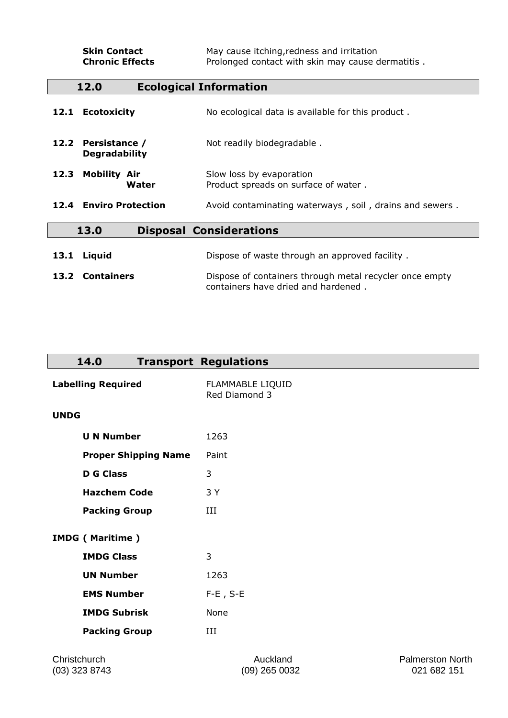| <b>Skin Contact</b><br><b>Chronic Effects</b> | May cause itching, redness and irritation<br>Prolonged contact with skin may cause dermatitis. |
|-----------------------------------------------|------------------------------------------------------------------------------------------------|
| 12.0                                          | <b>Ecological Information</b>                                                                  |
| 12.1 Ecotoxicity                              | No ecological data is available for this product.                                              |
| 12.2 Persistance /<br><b>Degradability</b>    | Not readily biodegradable.                                                                     |
| <b>Mobility Air</b><br>12.3<br>Water          | Slow loss by evaporation<br>Product spreads on surface of water.                               |
| 12.4 Enviro Protection                        | Avoid contaminating waterways, soil, drains and sewers.                                        |
| 13.0<br><b>Disposal Considerations</b>        |                                                                                                |
| Liquid<br>13.1                                | Dispose of waste through an approved facility.                                                 |
| 13.2 Containers                               | Dispose of containers through metal recycler once empty<br>containers have dried and hardened. |

| 14.0                        | <b>Transport Regulations</b>      |                         |
|-----------------------------|-----------------------------------|-------------------------|
| <b>Labelling Required</b>   | FLAMMABLE LIQUID<br>Red Diamond 3 |                         |
| <b>UNDG</b>                 |                                   |                         |
| <b>U N Number</b>           | 1263                              |                         |
| <b>Proper Shipping Name</b> | Paint                             |                         |
| <b>D G Class</b>            | 3                                 |                         |
| <b>Hazchem Code</b>         | 3 Y                               |                         |
| <b>Packing Group</b>        | III                               |                         |
| <b>IMDG</b> (Maritime)      |                                   |                         |
| <b>IMDG Class</b>           | 3                                 |                         |
| <b>UN Number</b>            | 1263                              |                         |
| <b>EMS Number</b>           | $F-E$ , S-E                       |                         |
| <b>IMDG Subrisk</b>         | None                              |                         |
| <b>Packing Group</b>        | III                               |                         |
| Christchurch                | Auckland                          | <b>Palmerston North</b> |